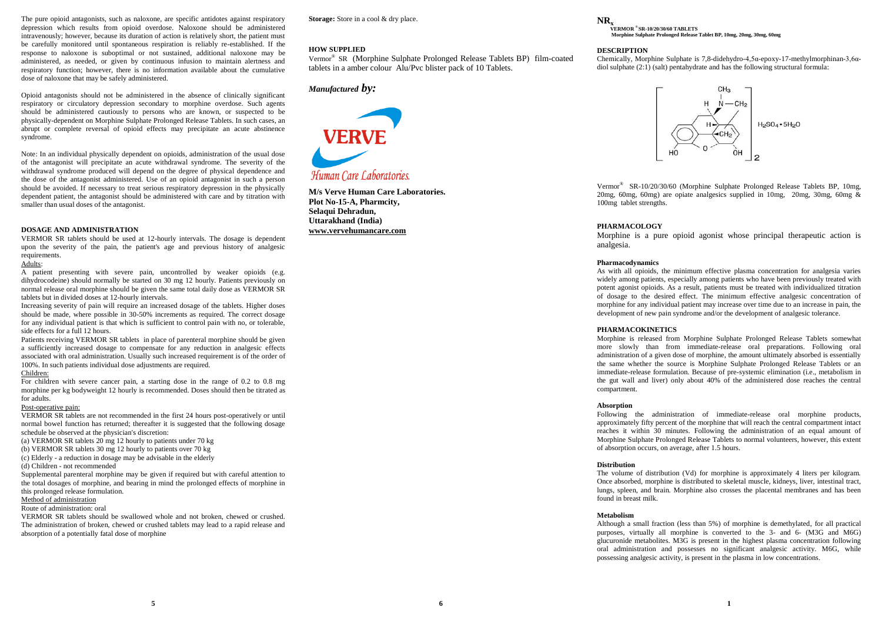The pure opioid antagonists, such as naloxone, are specific antidotes against respiratory depression which results from opioid overdose. Naloxone should be administered intravenously; however, because its duration of action is relatively short, the patient must be carefully monitored until spontaneous respiration is reliably re-established. If the response to naloxone is suboptimal or not sustained, additional naloxone may be administered, as needed, or given by continuous infusion to maintain alertness and respiratory function; however, there is no information available about the cumulative dose of naloxone that may be safely administered.

Opioid antagonists should not be administered in the absence of clinically significant respiratory or circulatory depression secondary to morphine overdose. Such agents should be administered cautiously to persons who are known, or suspected to be physically-dependent on Morphine Sulphate Prolonged Release Tablets. In such cases, an abrupt or complete reversal of opioid effects may precipitate an acute abstinence syndrome.

Note: In an individual physically dependent on opioids, administration of the usual dose of the antagonist will precipitate an acute withdrawal syndrome. The severity of the withdrawal syndrome produced will depend on the degree of physical dependence and the dose of the antagonist administered. Use of an opioid antagonist in such a person should be avoided. If necessary to treat serious respiratory depression in the physically dependent patient, the antagonist should be administered with care and by titration with smaller than usual doses of the antagonist.

### **DOSAGE AND ADMINISTRATION**

VERMOR SR tablets should be used at 12-hourly intervals. The dosage is dependent upon the severity of the pain, the patient's age and previous history of analgesic requirements.

# Adults:

A patient presenting with severe pain, uncontrolled by weaker opioids (e.g. dihydrocodeine) should normally be started on 30 mg 12 hourly. Patients previously on normal release oral morphine should be given the same total daily dose as VERMOR SR tablets but in divided doses at 12-hourly intervals.

Increasing severity of pain will require an increased dosage of the tablets. Higher doses should be made, where possible in 30-50% increments as required. The correct dosage for any individual patient is that which is sufficient to control pain with no, or tolerable. side effects for a full 12 hours.

Patients receiving VERMOR SR tablets in place of parenteral morphine should be given a sufficiently increased dosage to compensate for any reduction in analgesic effects associated with oral administration. Usually such increased requirement is of the order of 100%. In such patients individual dose adjustments are required.

# Children:

For children with severe cancer pain, a starting dose in the range of 0.2 to 0.8 mg morphine per kg bodyweight 12 hourly is recommended. Doses should then be titrated as for adults.

# Post-operative pain:

VERMOR SR tablets are not recommended in the first 24 hours post-operatively or until normal bowel function has returned; thereafter it is suggested that the following dosage schedule be observed at the physician's discretion:

(a) VERMOR SR tablets 20 mg 12 hourly to patients under 70 kg

(b) VERMOR SR tablets 30 mg 12 hourly to patients over 70 kg

```
(c) Elderly - a reduction in dosage may be advisable in the elderly
```
(d) Children - not recommended

Supplemental parenteral morphine may be given if required but with careful attention to the total dosages of morphine, and bearing in mind the prolonged effects of morphine in this prolonged release formulation.

# Method of administration

Route of administration: oral

VERMOR SR tablets should be swallowed whole and not broken, chewed or crushed. The administration of broken, chewed or crushed tablets may lead to a rapid release and absorption of a potentially fatal dose of morphine

**Storage:** Store in a cool & dry place.

### **HOW SUPPLIED**

Vermor® SR (Morphine Sulphate Prolonged Release Tablets BP) film-coated tablets in a amber colour Alu/Pvc blister pack of 10 Tablets.

# *Manufactured by:*



**M/s Verve Human Care Laboratories. Plot No-15-A, Pharmcity, Selaqui Dehradun, Uttarakhand (India) www.vervehumancare.com**

# **NR<sup>x</sup>**

### **VERMOR ® SR-10/20/30/60 TABLETS Morphine Sulphate Prolonged Release Tablet BP, 10mg, 20mg, 30mg, 60mg**

#### **DESCRIPTION**

Chemically, Morphine Sulphate is 7,8-didehydro-4,5α-epoxy-17-methylmorphinan-3,6αdiol sulphate (2:1) (salt) pentahydrate and has the following structural formula:



Vermor® SR-10/20/30/60 (Morphine Sulphate Prolonged Release Tablets BP, 10mg, 20mg, 60mg, 60mg) are opiate analgesics supplied in 10mg, 20mg, 30mg, 60mg & 100mg tablet strengths.

### **PHARMACOLOGY**

Morphine is a pure opioid agonist whose principal therapeutic action is analgesia.

## **Pharmacodynamics**

As with all opioids, the minimum effective plasma concentration for analgesia varies widely among patients, especially among patients who have been previously treated with potent agonist opioids. As a result, patients must be treated with individualized titration of dosage to the desired effect. The minimum effective analgesic concentration of morphine for any individual patient may increase over time due to an increase in pain, the development of new pain syndrome and/or the development of analgesic tolerance.

## **PHARMACOKINETICS**

Morphine is released from Morphine Sulphate Prolonged Release Tablets somewhat more slowly than from immediate-release oral preparations. Following oral administration of a given dose of morphine, the amount ultimately absorbed is essentially the same whether the source is Morphine Sulphate Prolonged Release Tablets or an immediate-release formulation. Because of pre-systemic elimination (i.e., metabolism in the gut wall and liver) only about 40% of the administered dose reaches the central compartment.

## **Absorption**

Following the administration of immediate-release oral morphine products, approximately fifty percent of the morphine that will reach the central compartment intact reaches it within 30 minutes. Following the administration of an equal amount of Morphine Sulphate Prolonged Release Tablets to normal volunteers, however, this extent of absorption occurs, on average, after 1.5 hours.

## **Distribution**

The volume of distribution (Vd) for morphine is approximately 4 liters per kilogram. Once absorbed, morphine is distributed to skeletal muscle, kidneys, liver, intestinal tract, lungs, spleen, and brain. Morphine also crosses the placental membranes and has been found in breast milk.

#### **Metabolism**

Although a small fraction (less than 5%) of morphine is demethylated, for all practical purposes, virtually all morphine is converted to the 3- and 6- (M3G and M6G) glucuronide metabolites. M3G is present in the highest plasma concentration following oral administration and possesses no significant analgesic activity. M6G, while possessing analgesic activity, is present in the plasma in low concentrations.